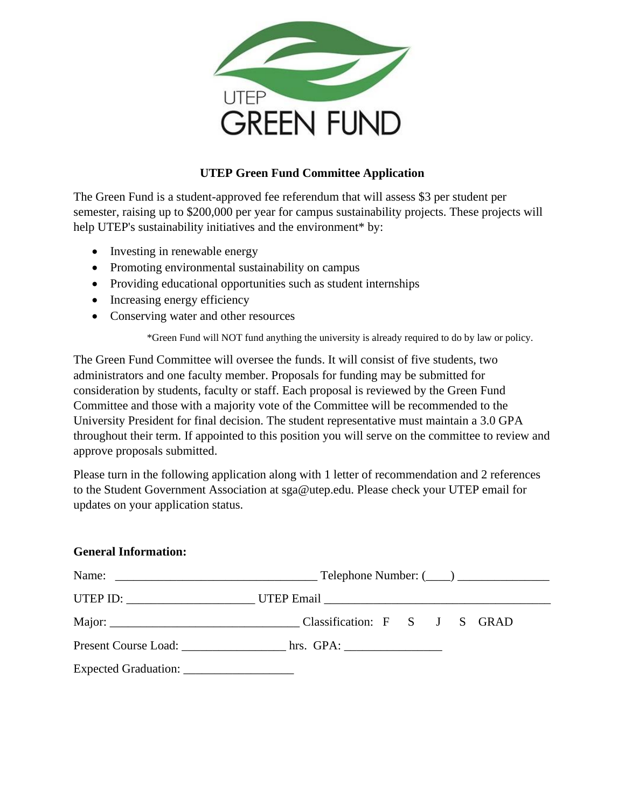

## **UTEP Green Fund Committee Application**

The Green Fund is a student-approved fee referendum that will assess \$3 per student per semester, raising up to \$200,000 per year for campus sustainability projects. These projects will help UTEP's sustainability initiatives and the environment\* by:

- Investing in renewable energy
- Promoting environmental sustainability on campus
- Providing educational opportunities such as student internships
- Increasing energy efficiency
- Conserving water and other resources

\*Green Fund will NOT fund anything the university is already required to do by law or policy.

The Green Fund Committee will oversee the funds. It will consist of five students, two administrators and one faculty member. Proposals for funding may be submitted for consideration by students, faculty or staff. Each proposal is reviewed by the Green Fund Committee and those with a majority vote of the Committee will be recommended to the University President for final decision. The student representative must maintain a 3.0 GPA throughout their term. If appointed to this position you will serve on the committee to review and approve proposals submitted.

Please turn in the following application along with 1 letter of recommendation and 2 references to the Student Government Association at sga@utep.edu. Please check your UTEP email for updates on your application status.

## **General Information:**

| UTEP ID: ___________________________UTEP Email __________________________________ |  |  |
|-----------------------------------------------------------------------------------|--|--|
|                                                                                   |  |  |
|                                                                                   |  |  |
|                                                                                   |  |  |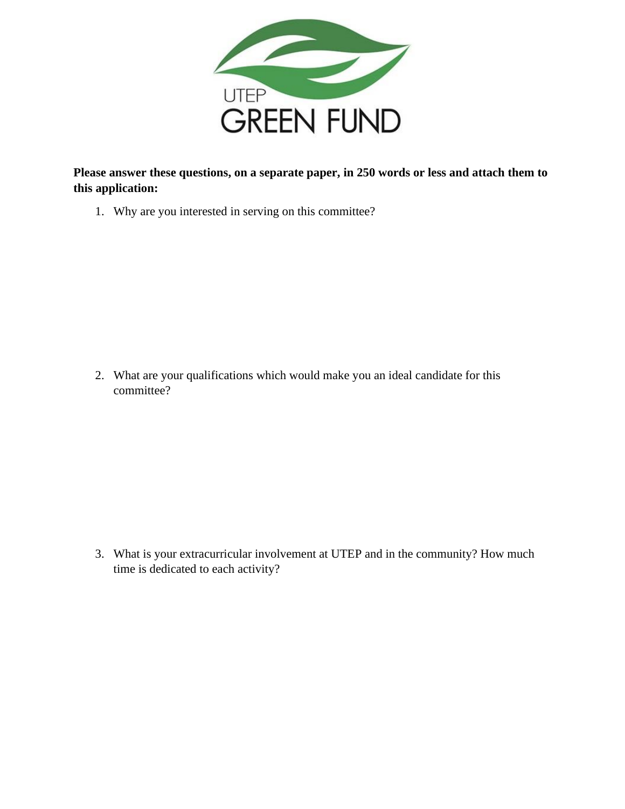

**Please answer these questions, on a separate paper, in 250 words or less and attach them to this application:**

1. Why are you interested in serving on this committee?

2. What are your qualifications which would make you an ideal candidate for this committee?

3. What is your extracurricular involvement at UTEP and in the community? How much time is dedicated to each activity?